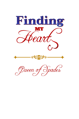

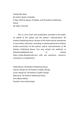Finding My Heart By Author Queen of Spades © May 2020 by Queen of Spades and All Authors Publishing House All rights reserved.

This is a free short story publication provided to the public on behalf of the author and the author's representative, All Authors Publishing House. No part of this book may be reproduced in any written, electronic, recording, or photocopying form without written permission of the authors and/or representatives of All Authors Publishing House. You may contact the publisher at allauthorspp@gmail.com or visiting https://www.allauthorsph.com with any questions, concerns, comments or compliments.

Published by: All Authors Publishing House Interior Design by: All Authors Graphic Design Cover Design by: All Authors Graphic Design Editing by: All Authors Publishing House First eBook Edition Printed in the United States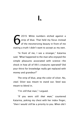2019. White numbers etched against a strip of blue. That held my focus instead of the mesmerizing beauty in front of me stating a truth I didn't want to accept as my own. 6

"In front of me, I see a stranger," Katarina said. "What happened to the man who enjoyed the simple pleasures associated with science—the shock in how all of life's creatures operated? Did your thirst for knowledge really get replaced with money and grandeur?"

The strip of blue, atop the color of silver. No, *steel*. Silver was meant to stand out. Steel was meant to blend in.

"I'm *still* that man," I argued.

"If you were still *that man*," countered Katarina, poking my chest with her index finger, "then I would *still* be a priority to you. When did I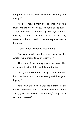get put in a column, a mere footnote in your grand design?"

My eyes moved from the decoration of the train to the top of her head. The roots of the hair a light chestnut, a telltale sign the dye job was nearing its end. The rest of Katarina's hair, strawberry blond. I still lacked courage to look in her eyes.

"I don't know what you mean, Rina."

"Did you forget I was there for you when the world was ignorant to your existence?"

The sting of the inquiry made me brave. Her eyes were in view, filled with brimming tears.

"Rina, of course I didn't forget!" I covered her hands with my own. "I am forever grateful for your loyalty."

Katarina yanked her hands from mine. Tears flowed down her cheeks. "Loyalty? *Loyalty* is what a dog gives its master. I am nobody's dog, and I serve no master!"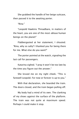She grabbed the handle of her beige suitcase, then passed it to the awaiting porter.

"Rina-"

"Leopold Hawkins Threadbare, in matters of the heart, you are one of the most *obtuse* human beings on the planet!"

Flabbergasted at her statement, I shouted. "Rina, why so salty? I thanked you for being there for me. What else do you want?"

The porter pointed at the watch, signaling the last call for passengers.

Katarina sighed. "I pray it won't be too late by the time you figure out the answer."

She kissed me on my right cheek. "This is farewell Leopold. For now or forever is up to you."

With that declaration, she boarded the train. The doors closed, and the train began pulling off.

My body had a mind of its own. The clanking of my shoes against the surface of the platform. The train was not quite at maximum speed. Perhaps I could make it stop.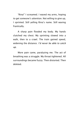"Rina!" I screamed. I waved my arms, hoping to get someone's attention. Not willing to give up, I sprinted. Still yelling Rina's name. Still waving frantically.

A sharp pain flooded my body. My hands clutched my chest. My sprinting slowed into a walk, then to a crawl. The train gained speed, widening the distance. *I'd never be able to catch up.*

More pain came, paralyzing me. The act of breathing was a struggle. My throat tightened. All surroundings became fuzzy. Then distorted. Then deleted.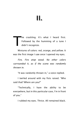he crackling. It's what I heard first. Followed by the humming of a tune I didn't recognize. T

Mixtures of colors: red, orange, and yellow. It was the first image I saw once I opened my eyes.

*Fire. Fire atop wood. No other colors surrounded it, as if the scene was randomly thrown in.*

"It was randomly thrown in," a voice replied.

I twirled around with my fists raised. "Who said that? Where are you?"

"Technically, I have the ability to be everywhere, but in this particular case, I'm in front of you."

I rubbed my eyes. Thrice. All remained black.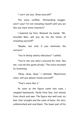"I can't see you. Show yourself!"

The voice scoffed. "Demanding bugger, aren't you? I'm not revealing myself until you act like you have some manners!"

I lowered my fists. Relaxed my hands. "Mr. Invisible Man, will you do me the honor of revealing yourself?"

"Maybe, but only if you eliminate the sarcasm."

"You're being utterly ridiculous!" I yelled.

"You're the one who's pressed for time. Not me. I can do this game all day." The voice resumed its humming.

"Okay, okay, okay," I relented. "Mysterious voice, will you please reveal yourself?"

"That's more like it."

As soon as the figure came into view, I stepped backwards. Partly from fear, but mostly from shock and awe. The figure was well over six feet. Hair straight and the color of bone. His skin, unblemished and coal black. The lower part of his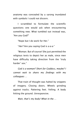anatomy was concealed by a sarong inundated with symbols I could not discern.

I scrambled to formulate the scientific questions one would ask when encountering something new. What tumbled out instead was, "Are you God?"

"Nope but I do work for Her."

"*Her?* Are you saying God is a-a-a-"

"Woman. But of course! She just permitted the religious texts to depict her as male, since men have difficulty taking direction from the 'truly harder' sex."

*God is a woman? Short for Goddess, maybe? I cannot wait to share my findings with my colleagues …*

That train of thought was halted by snippets of imagery. Closing doors. Wheels grinding against tracks. Pattering feet. Yelling. A body hitting the ground. Unresponsive.

*Wait, that's my body! What in the …*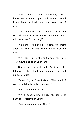"You are dead. At least temporarily." God's helper yanked me upright. "Look, as much as I'd like to have small talk, you don't have a lot of time<sup>"</sup>

"Look, whatever your name is, this is the second instance where you've mentioned time. What is it that I'm missing?"

At a snap of the being's fingers, two chairs appeared. He sat in one, invited me to sit on the other.

"I'm Titan. This is the part where you close your mouth and open your ears."

Titan created a small table. On top of the table was a plate of hot food, eating utensils, and a glass of water.

"Go on. Dig in," Titan insisted. "The sound of your grumbling belly is rather loud."

*Was it?* I couldn't hear it.

"I'm a supernatural being. My sense of hearing is better than yours."

"Quit being in my head Titan."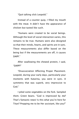"Quit talking slick Leopold."

Instead of a counter quip, I filled my mouth with the meat. It didn't have the appearance of chicken but tasted like such.

"Humans were created to be social beings. Although the level of social interaction varies, this remains to be true. Humans were also designed so that their minds, hearts, and spirits are in sync. These measurements also differ based on the being but if the measurements are off, it causes DAPP<sup>"</sup>

After swallowing the chewed protein, I said, "DAPP?"

"Disassociation Affecting Proper Placement. Leopold, during your early days, particularly your moments with Katarina, you were in sync. A symmetry that was superb, very impressive to God."

I piled some vegetables on the fork. Sampled them. Green beans. "God is impressed by *me*? That's fantastic news! Is this what you're here for Titan? Prepping me to be Her assistant, like you?"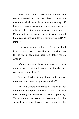"*Were*. Past tense." More chicken-flavored strips materialized on the plate. "There are elements which can throw the uniformity off balance. You got exposed to those elements once others realized the importance of your research. Money and fame, two facets not in your original biology, changed you. Hence, putting you in DAPP status."

"I get what you are telling me Titan, but I fail to understand. Why is wanting my contributions to the world seen and paid top dollar for so wrong?"

"It's not necessarily wrong, *unless* it does damage to your vitals. In your case, the damage was done to your heart."

"My heart? Why did my doctor tell me year after year that I was in tip top condition?"

"Not the simple mechanics of the heart. Its emotional and spiritual tether. Body parts also need intangible elements to keep operating. Those cannot be seen or measured by the scientific eye Leopold. As your zest increased, the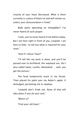vivacity of your heart decreased. What is there currently is a piece of black ice and will remain so, unless your disassociation is fixed."

*Body parts operating on intangibles? I've never heard of such jargon.*

"Look, you've never heard of me before today. But I am here right in front of you, Leopold. I am here to help—to tell you what is required for your reset."

"And if I refuse Titan?"

"I'll tell Her my work is done, and you'll be passed over to Archfiend, Her wayward son. He's also called Satan, Lucifer, Beelzebub … well, you get the picture."

The food temporarily stuck in my throat. Titan placed his palm over my Adam's apple. It dislodged, permitting me to swallow.

"Leopold don't freak out. None of that will take place if you do your task."

"Which is?"

"Find your old heart."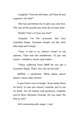I laughed. "Find my old heart, eh? How do you suppose I do that?"

"She has permitted me to give you one hint. The rest of the puzzle you must do on your own."

"Really? That's it? Just one hint?"

"Leopold, I'm Her assistant. Not your Guardian Angel. Guardian Angels are the ones who help with things."

"Titan, if that is so, where's mine?" In my opinion, Titan was the middleman. To get real action, I needed a mover and shaker.

"Those suffering from DAPP do not get a Guardian Angel. That's the rule set by God."

Baffled, I countered, "What about Jesus? Doesn't Jesus help sinners."

It was Titan's turn to laugh. "Jesus helps those on Earth. In case you haven't noticed, you're not on Earth. For all intents and purposes, Leopold, you've been declared missing. Do you want the hint or not?"

Still simmering with anger, I nod.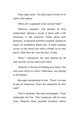Titan claps twice. The dark spot in front of us splits, then opens.

"What am I supposed to be seeing Titan?"

"Patience Leopold." The blanket of mist evaporated, leaving a visual. A place with a tall mountain in the outskirts. Fields plush with greenery. A monarch butterfly traveled, landed on waves of strawberry blond hair. A hand reached across so the insect can select a finger as its new perch. Only then do I see the face. A lady.

"Rina," I whispered. Her eyes perked up. At that second, all was dark once more.

"Katarina is the key to finding your heart. You only have thirty-six hours. Otherwise, you belong to Archfiend."

My anger decelerated to fear. "There's no way to get an extension, Titan? No substitute for this task?"

"God is absolute. She does not bargain." Titan disbanded the fire. "The Conductor will be here soon. Pinpoint three possible locations where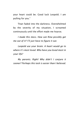your heart could be. Good luck Leopold. I am pulling for you."

Titan faded into the darkness. Overwhelmed by the severity of my situation, I screamed continuously until the effort made me hoarse.

*I made this mess. How can Rina possibly get me out of it? I'll just have to figure it out.*

*Leopold use your brain. A heart would go to where it's most loved. Who have you loved most in your life?*

*My parents. Right! Why didn't I conjure it sooner? Perhaps this task is easier than I believed.*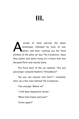# III.

streak of steel pierced the black landscape, followed by hues of red, white, and blue. Looking out the front window of the pilot car was The Conductor. Navy blue jacket and pants hung on a frame that was decayed flesh and mostly bone. A

The front door of the car opened. "Are you passenger Leopold Hawkins Threadbare?"

"Do you see anyone *else* here?" I boarded, then sat a few rows behind The Conductor.

"Fair enough. Where to?"

"1476 New Hampshire Street."

"What time frame and year?"

"Come again?"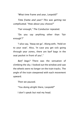"What time frame and year, Leopold?"

*Time frame and year? This was getting too complicated.* "How about you choose?"

"Fair enough," The Conductor repeated.

"Do you say anything other than 'fair enough'?"

"I also say, 'Away we go'. Along with, 'Hold on to your seat'. Also, 'In case you get sick going through year zones, there are barf bags in the seat pocket in front of you'."

*Barf bags?* There was the sensation of climbing the sky. I looked out the window and saw the wheels were no longer on the train tracks. The angle of the train steepened with each movement upward.

Then we paused.

"You doing alright there, Leopold?"

I don't speak but nod my head.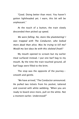"Good. Doing better than most. You haven't gotten lightheaded yet. I warn, this bit will be unpleasant."

At the touch of a button, the train slowly descended then picked up speed.

*We were falling. No, more like plummeting! I was trapped with The Conductor, who looked more dead than alive. Was he trying to kill me? Would my last days be with this skeletal freak?*

My mouth opened to scream but my earlier meal surfaced instead. I put one barf bag to my mouth. By the time the train touched ground, all barf bags were filled to the brim.

The stop was the opposite of the journeysmooth and gentle.

"We have arrived," The Conductor announced. He pulled two tickets from his pocket, tattered and covered with white webbing. "When you are ready to board once more, pull on the white. Not a moment earlier. Understood?"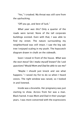"Yes," I croaked. My throat was still sore from the upchucking.

"Off you go, and best of luck."

*What year was this?* Only a quarter of the roads were tarred. None of the tall corporate buildings existed. Even with that, I was able to find my street. The nature surrounding my neighborhood was still intact. I saw the big oak tree I enjoyed scaling in my youth. The hopscotch diagram drawn in chalk on the sidewalk.

Soon I stood in front of the house. *What was the next move? Do I make myself known? Do I ask questions? Would Mom and Dad be able to see me?*

"Maybe I should just knock and see what happens." I raised my fist to do so when I heard voices. The right window was raised, so I looked in and listened.

Inside was a brunette. Her pregnancy was just starting to show. Across from her was a man. Black haired. It was Mom and Dad in their younger years. I was more concerned with the expressions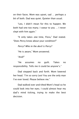on their faces. Mom was upset, sad … perhaps a bit of both. Dad was quiet. Quieter than usual.

"Leo, I didn't mean for this to happen. We both had one too many. I swear to you … I never slept with him again."

"It only takes *one* time, Flora," Dad stated. "Does Percy know about your condition?"

*Percy? Who in the devil is Percy?*

"He is aware," Mom answered.

"And?"

"He assumes no guilt. Takes no responsibility. Tells me it could be anyone's."

Dad stepped back and forth. Mom lowered her head. "I'm so sorry Leo! You are the only man I've ever loved. Please believe me"

Dad walked over and tilted Mom's head so he could look into her eyes. I could almost hear my dad's mind ticking, trying to make the best decision.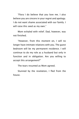"Flora I do believe that you love me. I also believe you are sincere in your regret and apology. I do not want shame associated with our family. I will raise this seed as my own."

Mom exhaled with relief. Dad, however, was not finished.

"However, from this moment on, I will no longer have intimate relations with you. The guest bedroom will be my permanent residence. I will continue to do my role as a husband but only in function and in obligation. Are you willing to accept this arrangement?"

The tears resumed as Mom agreed.

Stunned by the revelation, I fled from the house.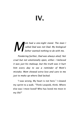## IV.

*om had a one-night stand. The man I called Dad was not Dad. My biological father wanted nothing to do with me. M*

*Pondering further, Dad was always aloof. Not cruel but not emotionally open, either. I believed it was just his makeup, but the truth was it hurt him every day to see a reminder of Mom's mistake. Mom showed extra love and care to me just to make up where Dad lacked.*

"I was wrong. My heart is not here." I slowed my sprint to a walk. "Think Leopold, think. Where else was I most loved? Who has loved me most in my life?"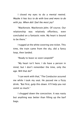I closed my eyes to do a mental rewind. *Maybe it has less to do with love and more to do with joy. When did I feel the most joy?*

"MacKenzie. MacKenzie John. Of course. Our relationship was relatively effortless, even concluded on a fantastic note. My heart is bound to be there."

I tugged at the white covering one ticket. This time, the train came from the sky, did a fancy loop, then landed.

"Ready to leave so soon Leopold?"

"My heart isn't here. I do have a person in mind, but I don't remember the time, only the age. Will that do?"

"I can work with that," The Conductor assured me while I took my seat. He passed me a fizzy drink. "But first, gulp this down. It'll help you not vomit so much."

I chugged down the concoction. It was nasty but anything was better than filling up the barf bags.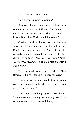"So … how old is this dame?"

"How do you know it's a woman?"

"Because if home is not where the heart is, a woman is the next best thing." The Conductor pushed a few buttons, preparing the train for travel. "Next stop, MacKenzie John. Age 22."

Whether the drink helped, or the ride was smoother, I could not ascertain. I stood outside MacKenzie's dorm quarters. She sat on the concrete steps, engaged in study with her chemistry partner. *What was her name? Jozie? Josette? It escaped me. I just knew that she wasn't a fan of mine.*

"I'm so glad you're my partner Mac. Otherwise, I'd have failed chemistry for sure."

"You give me too much credit Josetta. When you apply yourself one hundred percent, you can accomplish anything."

"Well, not everything." Josetta concluded. "I've pointed out so many reasons why Leopold is wrong for you, yet you are still dating him."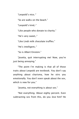"Leopold's nice,-"

"So are walks on the beach."

"Leopold's kind,-"

"Like people who donate to charity."

"He's very sweet,-"

"Like Lindt milk chocolate truffles."

"He's intelligent,-"

"So is Albert Einstein."

"Josetta, quit interrupting me! Now, you're just being annoying."

"The point I'm making is that all of those traits about Leopold are textbook. You don't say anything about charisma, how he stirs you emotionally. You don't even speak about the sex, which is new for you."

"Josetta, not everything is about sex."

"Not everything. About eighty percent. Even subtracting sex from this, do you *love* him? He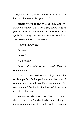always says it to you, but you've never said it to him. Has he even called you on it?"

*Josetta you're so full of … but was she? My mind functioned like a Polaroid, shaking each portion of my relationship with MacKenzie. Yes, I spoke love. Every time. MacKenzie never said love. She responded with other terms.* 

*"I adore you as well."*

*"Me too."*

*"Same."*

*"How lovely!"*

*I always deemed it as close enough. Maybe it really wasn't.*

"Look Mac. Leopold isn't a bad guy but is he really a perfect fit for you? Are you the type of woman who would sacrifice excitement for contentment? Passion for tenderness? If not, you need to let him go."

MacKenzie slammed the Chemistry book shut. "Josetta, you're absolutely right. I thought the easygoing nature of Leopold would be enough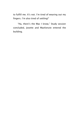to fulfill me. It's not. I'm tired of wearing out my fingers. I'm also tired of settling!"

"Ha, there's the Mac I know," Study session concluded, Josette and MacKenzie entered the building.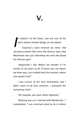*n matters of the heart, you are one of the most obtuse human beings on the planet.*

Katarina's voice entered my mind. *Did she have a point? Did I miss the obvious signs that MacKenzie was just tolerating me until she found her forever guy? I*

"Apparently I did. Makes me wonder if I'm worthy of my heart at all. If home was not where my heart was, nor resided with this woman, where else would it be?"

I was unsure of the next destination, but I didn't want to be here anymore. I activated the remaining ticket.

"Ah Leopold, you look rather dejected."

"Nothing was as it seemed with MacKenzie," I complained. "I am uncertain what to do or where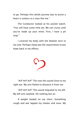to go. Perhaps this whole journey was to prove a heart is useless to a man like me."

The Conductor looked at his pocket watch. "You still have some time yet. We can cruise until you've made up your mind. First, I have a pit stop."

I covered my body with the blanket next to my seat. Perhaps sleep was the requirement to put hope back in my efforts.



"Arf! Arf! Arf!" This was the sound close to my right ear. My arm flailed to distance it from me.

"Arf! Arf! Arf!" The sound migrated to my left. My left arm swatted. Hit nothing but air.

A weight landed on my chest. Something rough and wet lapped my cheeks and nose. My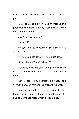eyelids raised. My eyes focused. It was a black pup.

"Skye, come here girl. You've frightened this poor man to death!" the lady fussed, then turned her attention to me.

*Wait? She can see me?*

"Leopold?"

My eyes blinked repeatedly. Sure enough, it was Katarina.

*How did she get here? How did I get here?*

"Rina, where's The Conductor?"

"Leopold, what are you talking about? There isn't a train station around for at least thirty miles."

"Um … yeah, right." I scratched my head, still confused. *About year. About date. About time.*

Katarina looked the same prior to her boarding the train. That wasn't fully helpful. She had one of those faces which defied aging.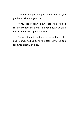"The more important question is how did you get here. Where is your car?"

"Rina, I really don't know. That's the truth." I rose to my feet but almost plopped down again if not for Katarina's quick reflexes.

"Easy. Let's get you back to the cottage." She and I slowly walked down the path. Skye the pup followed closely behind.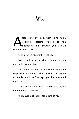fter filling my belly with some home cooking, Katarina walked to the bathroom, "I'm drawing you a bath Leopold. You stink." A

"Like a rotten egg stink?" I joked.

"No, more like death," she countered, wiping the smile from my face.

I disrobed outside the bathroom door then stepped in. Katarina blushed before ordering me in. She lathered the foam sponge, then scrubbed my back.

"I am perfectly capable of bathing myself Rina. I'm not an invalid."

"Just shush and let me take care of you."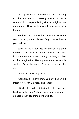I occupied myself with trivial issues. Needing to clip my toenails. Soaking more sun so I wouldn't look so pale. Doing sit ups to tighten my abdominals. How my hair was in dire need of a haircut.

My head was doused with water. Before I could protest, she explained, "Might as well wash your hair too."

Some of the water wet her blouse. Katarina removed the wet material, leaving on her brassiere. Without interior lining, nothing was left to the imagination. Her nipples were noticeably swollen. From the water. From exposure to the air.

#### *Or was it something else?*

"Leopold, if I didn't know you any better, I'd mistake you for a hippie," she teased.

I tickled her sides. Katarina lost her footing, landing in the tub. We took turns splashing water on each other, laughing all the while.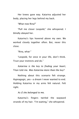Her knees gave way. Katarina adjusted her body, placing her legs behind my back.

"What now Rina?"

"Pull me closer Leopold," she whispered. I blindly obeyed her.

Katarina's lips hovered above my own. We worked closely together often. But, never this close.

"Rina, what-"

"Leopold, for once in your life, don't think. Trust your instincts and do."

*Katarina is the key to finding your heart,*  Titan told me. *Was Katarina more than the key?*

Nothing about this scenario felt strange. Hypnagogic, yes—a dream I never wanted to end. Holding Katarina in my arms felt natural. Felt right.

*As if she belonged to me.*

Katarina's fingers twirled the wayward strands of my hair. "I'm waiting," she whispered.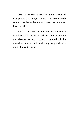*What if I'm still wrong?* My mind fussed. At this point, I no longer cared. This was exactly where I needed to be and whatever the outcome, I was satisfied.

For the first time, our lips met. Yet they knew exactly what to do. What tricks to do to accelerate our desires for each other. I quieted all the questions, succumbed to what my body and spirit didn't know it craved.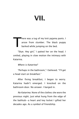## VII.

here was a tug of my knit pajama pants. I arose from slumber. The black puppy barked while jumping on the bed. T

"Skye. Hey girl," I patted her on the head. I smiled, playing in slow motion the intimacy with Katarina.

### *Where is Katarina?*

"Perhaps in the bathroom," I believed. "I'll get a head start on breakfast."

After fixing breakfast, I began to worry. Katarina hadn't emerged. I knocked on the bathroom door. No answer. I barged in.

*No Katarina.* None of the clothes she wore the previous night. Just what hung from the edge of the bathtub—a heart and key locket I gifted her decades ago. As a symbol of friendship.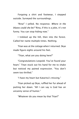Forgoing a shirt and footwear, I stepped outside. Surveyed the surroundings.

"Rina!" I yelled. No response. *Where in the blazes could she be?* "Rina, if this is a joke, it's not funny. You can stop hiding now."

I trekked up the hill, then into the forest. Called her name multiple times. Nothing.

Titan was at the cottage when I returned. Skye made figure eights around his feet.

"Titan, what are you doing here?"

"Congratulations Leopold. You've found your heart." Titan stuck out his hand for me to shake but noticed my pained expression. "You don't seem too thrilled."

"I have my heart but Katarina's missing."

Titan picked up Skye, ruffled her fur ahead of putting her down. "All I can say is God has an uncanny sense of humor."

"Whatever do you mean by that Titan?"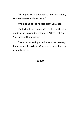"Ah, my work is done here. I bid you adieu, Leopold Hawkins Threadbare."

With a snap of the fingers Titan vanished.

"God what have You done?" I looked at the sky awaiting an explanation. "Figures. When I call You, You have nothing to say!"

Dismayed at having to solve another mystery, I ate some breakfast. One must have fuel to properly think.

### *The End*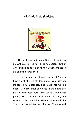### About the Author



The best way to describe Queen of Spades is an Antiquated Hybrid: a contemporary author whose writings have a down-to-earth resonance to anyone who reads them.

Since the age of eleven, Queen of Spades flowed with the fire of ideas indicative of rhythm inundated with stanzas. She made her writing debut as a presenter and poet in the anthology Soulful Branches: Words and Sounds. Her other poetry works include Reflections of Soul, the Eclectic collection (Skin Edition & Beyond the Skin), the Spaded Truths collection (Themes and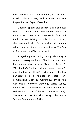Proclamations and Life-O-Suction), Private Pain: Amidst These Ashes, and R.I.P.(E).: Random Inspirations on Paper: (E)ve-olution.

Queen of Spades also collaborates in subjects she is passionate about. She provided works in the April 2014 poetry anthology Words of Fire and Ice by Durham Editing and E-books. In addition, she partnered with fellow author MJ Holman addressing the stigma of mental illness: The Sea of Conscience and Waves to Light.

Storytelling took spotlight alongside poetry in Queen's literary evolution. She has written four independent short stories: "Taint on Religion", "Mr. Bradley's Garden", "When Summer Lingers", and "Finding My Heart". Furthermore, she has participated in a number of short story compilations, such as Continuous Drips, the Concordant Vibrancy anthology series (Unity, Vitality, Lustrate, Inferno), and the Divergent Ink collection (Crackles of the Heart, Pleasure Prints). She released her first short story collection A Scribe's Sentiments in 2019.